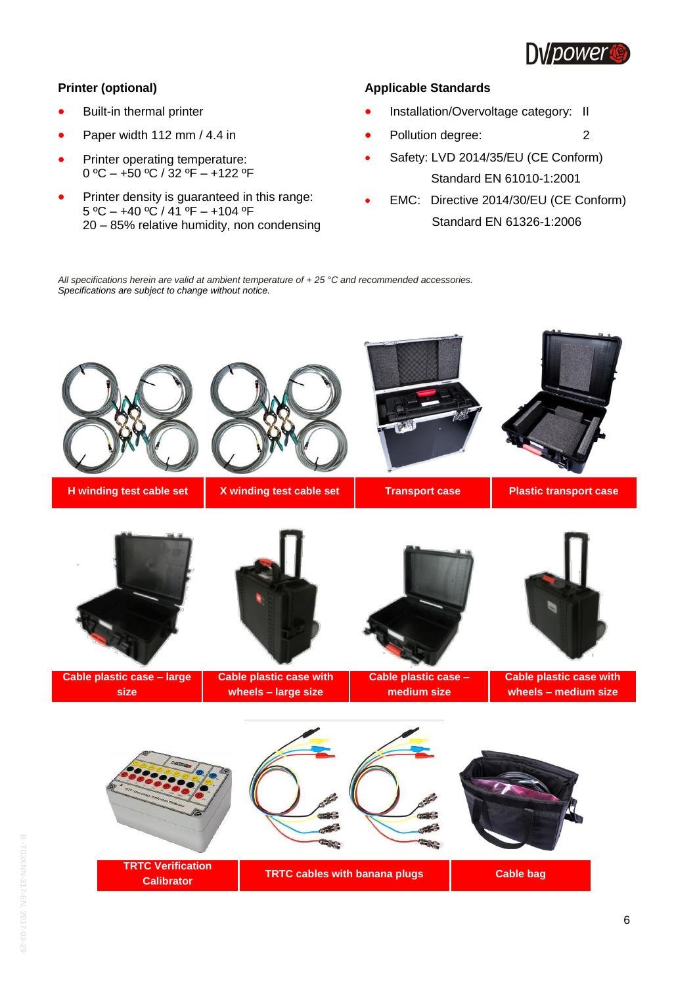

## **Printer (optional)**

- Built-in thermal printer
- Paper width 112 mm / 4.4 in
- Printer operating temperature: 0 ºC – +50 ºC / 32 ºF – +122 ºF
- Printer density is guaranteed in this range: 5 ºC – +40 ºC / 41 ºF – +104 ºF 20 – 85% relative humidity, non condensing

## **Applicable Standards**

- Installation/Overvoltage category: II
- Pollution degree: 2
- Safety: LVD 2014/35/EU (CE Conform) Standard EN 61010-1:2001
- EMC: Directive 2014/30/EU (CE Conform) Standard EN 61326-1:2006

*All specifications herein are valid at ambient temperature of + 25 °C and recommended accessories. Specifications are subject to change without notice.*

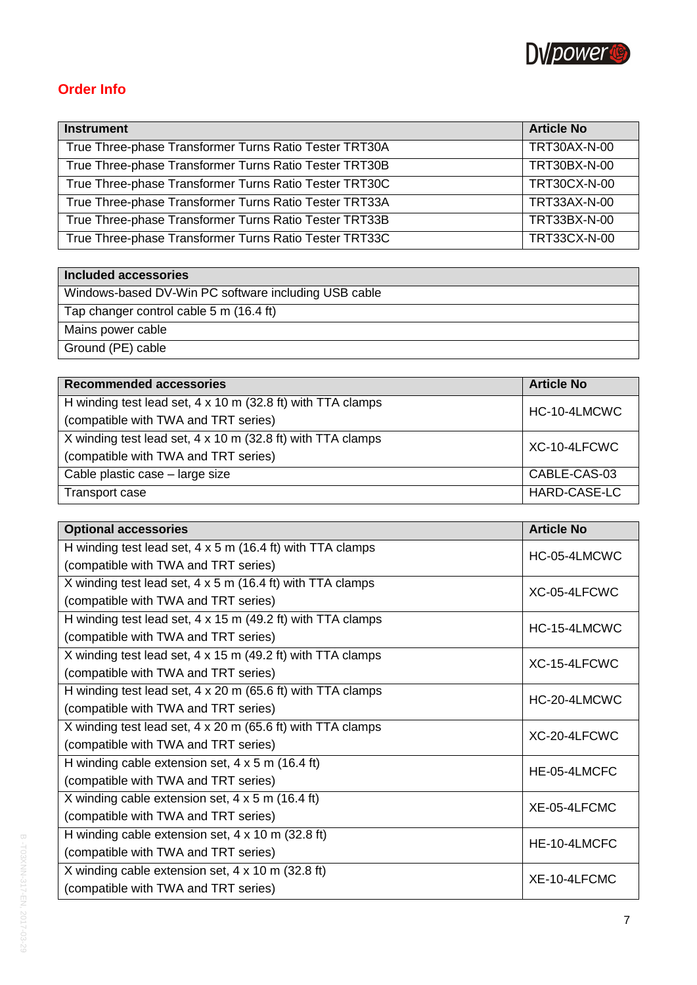

## **Order Info**

| <b>Instrument</b>                                      | <b>Article No</b>   |
|--------------------------------------------------------|---------------------|
| True Three-phase Transformer Turns Ratio Tester TRT30A | TRT30AX-N-00        |
| True Three-phase Transformer Turns Ratio Tester TRT30B | TRT30BX-N-00        |
| True Three-phase Transformer Turns Ratio Tester TRT30C | <b>TRT30CX-N-00</b> |
| True Three-phase Transformer Turns Ratio Tester TRT33A | TRT33AX-N-00        |
| True Three-phase Transformer Turns Ratio Tester TRT33B | TRT33BX-N-00        |
| True Three-phase Transformer Turns Ratio Tester TRT33C | TRT33CX-N-00        |

## **Included accessories**

Windows-based DV-Win PC software including USB cable

Tap changer control cable 5 m (16.4 ft)

Mains power cable

Ground (PE) cable

| <b>Recommended accessories</b>                              | <b>Article No</b> |
|-------------------------------------------------------------|-------------------|
| H winding test lead set, 4 x 10 m (32.8 ft) with TTA clamps | HC-10-4LMCWC      |
| (compatible with TWA and TRT series)                        |                   |
| X winding test lead set, 4 x 10 m (32.8 ft) with TTA clamps | XC-10-4LFCWC      |
| (compatible with TWA and TRT series)                        |                   |
| Cable plastic case - large size                             | CABLE-CAS-03      |
| Transport case                                              | HARD-CASE-LC      |

| <b>Optional accessories</b>                                       | <b>Article No</b> |
|-------------------------------------------------------------------|-------------------|
| H winding test lead set, $4 \times 5$ m (16.4 ft) with TTA clamps | HC-05-4LMCWC      |
| (compatible with TWA and TRT series)                              |                   |
| X winding test lead set, 4 x 5 m (16.4 ft) with TTA clamps        | XC-05-4LFCWC      |
| (compatible with TWA and TRT series)                              |                   |
| H winding test lead set, 4 x 15 m (49.2 ft) with TTA clamps       | HC-15-4LMCWC      |
| (compatible with TWA and TRT series)                              |                   |
| X winding test lead set, 4 x 15 m (49.2 ft) with TTA clamps       | XC-15-4LFCWC      |
| (compatible with TWA and TRT series)                              |                   |
| H winding test lead set, 4 x 20 m (65.6 ft) with TTA clamps       | HC-20-4LMCWC      |
| (compatible with TWA and TRT series)                              |                   |
| X winding test lead set, 4 x 20 m (65.6 ft) with TTA clamps       | XC-20-4LFCWC      |
| (compatible with TWA and TRT series)                              |                   |
| H winding cable extension set, $4 \times 5$ m (16.4 ft)           | HE-05-4LMCFC      |
| (compatible with TWA and TRT series)                              |                   |
| X winding cable extension set, $4 \times 5$ m (16.4 ft)           | XE-05-4LFCMC      |
| (compatible with TWA and TRT series)                              |                   |
| H winding cable extension set, 4 x 10 m (32.8 ft)                 | HE-10-4LMCFC      |
| (compatible with TWA and TRT series)                              |                   |
| X winding cable extension set, $4 \times 10$ m (32.8 ft)          | XE-10-4LFCMC      |
| (compatible with TWA and TRT series)                              |                   |